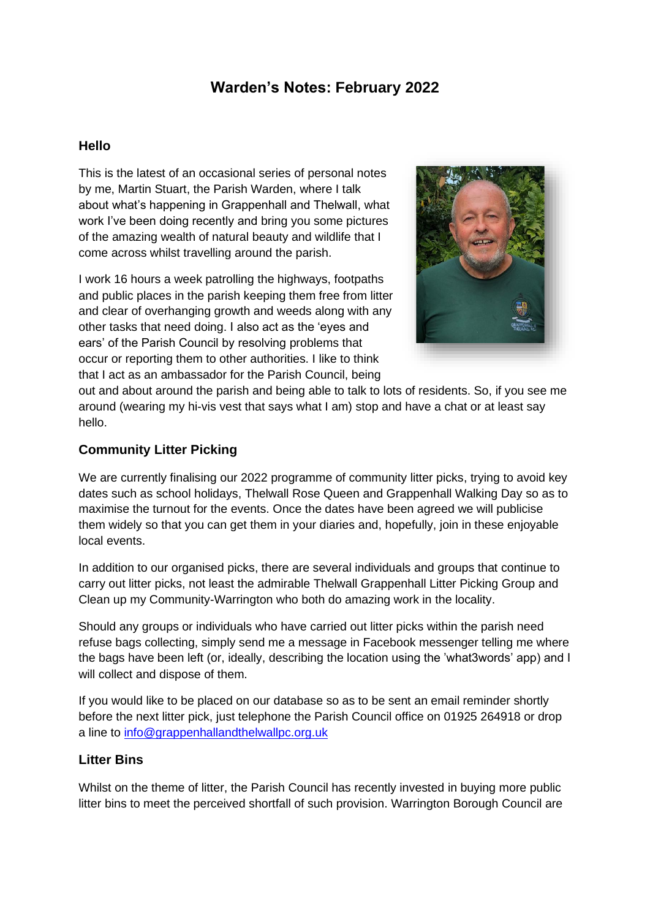# **Warden's Notes: February 2022**

#### **Hello**

This is the latest of an occasional series of personal notes by me, Martin Stuart, the Parish Warden, where I talk about what's happening in Grappenhall and Thelwall, what work I've been doing recently and bring you some pictures of the amazing wealth of natural beauty and wildlife that I come across whilst travelling around the parish.

I work 16 hours a week patrolling the highways, footpaths and public places in the parish keeping them free from litter and clear of overhanging growth and weeds along with any other tasks that need doing. I also act as the 'eyes and ears' of the Parish Council by resolving problems that occur or reporting them to other authorities. I like to think that I act as an ambassador for the Parish Council, being



out and about around the parish and being able to talk to lots of residents. So, if you see me around (wearing my hi-vis vest that says what I am) stop and have a chat or at least say hello.

# **Community Litter Picking**

We are currently finalising our 2022 programme of community litter picks, trying to avoid key dates such as school holidays, Thelwall Rose Queen and Grappenhall Walking Day so as to maximise the turnout for the events. Once the dates have been agreed we will publicise them widely so that you can get them in your diaries and, hopefully, join in these enjoyable local events.

In addition to our organised picks, there are several individuals and groups that continue to carry out litter picks, not least the admirable Thelwall Grappenhall Litter Picking Group and Clean up my Community-Warrington who both do amazing work in the locality.

Should any groups or individuals who have carried out litter picks within the parish need refuse bags collecting, simply send me a message in Facebook messenger telling me where the bags have been left (or, ideally, describing the location using the 'what3words' app) and I will collect and dispose of them.

If you would like to be placed on our database so as to be sent an email reminder shortly before the next litter pick, just telephone the Parish Council office on 01925 264918 or drop a line to [info@grappenhallandthelwallpc.org.uk](mailto:info@grappenhallandthelwallpc.org.uk)

# **Litter Bins**

Whilst on the theme of litter, the Parish Council has recently invested in buying more public litter bins to meet the perceived shortfall of such provision. Warrington Borough Council are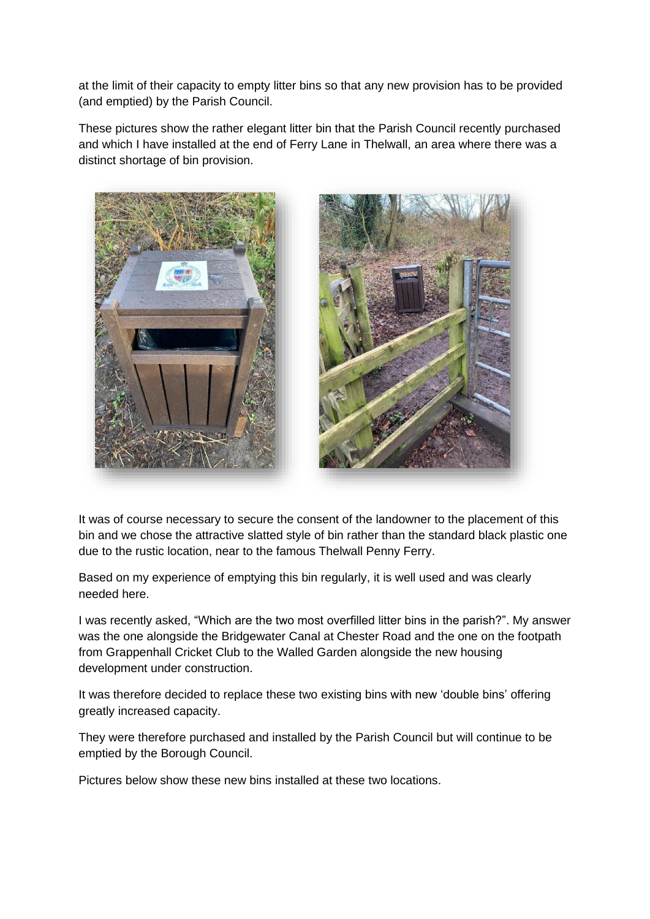at the limit of their capacity to empty litter bins so that any new provision has to be provided (and emptied) by the Parish Council.

These pictures show the rather elegant litter bin that the Parish Council recently purchased and which I have installed at the end of Ferry Lane in Thelwall, an area where there was a distinct shortage of bin provision.





It was of course necessary to secure the consent of the landowner to the placement of this bin and we chose the attractive slatted style of bin rather than the standard black plastic one due to the rustic location, near to the famous Thelwall Penny Ferry.

Based on my experience of emptying this bin regularly, it is well used and was clearly needed here.

I was recently asked, "Which are the two most overfilled litter bins in the parish?". My answer was the one alongside the Bridgewater Canal at Chester Road and the one on the footpath from Grappenhall Cricket Club to the Walled Garden alongside the new housing development under construction.

It was therefore decided to replace these two existing bins with new 'double bins' offering greatly increased capacity.

They were therefore purchased and installed by the Parish Council but will continue to be emptied by the Borough Council.

Pictures below show these new bins installed at these two locations.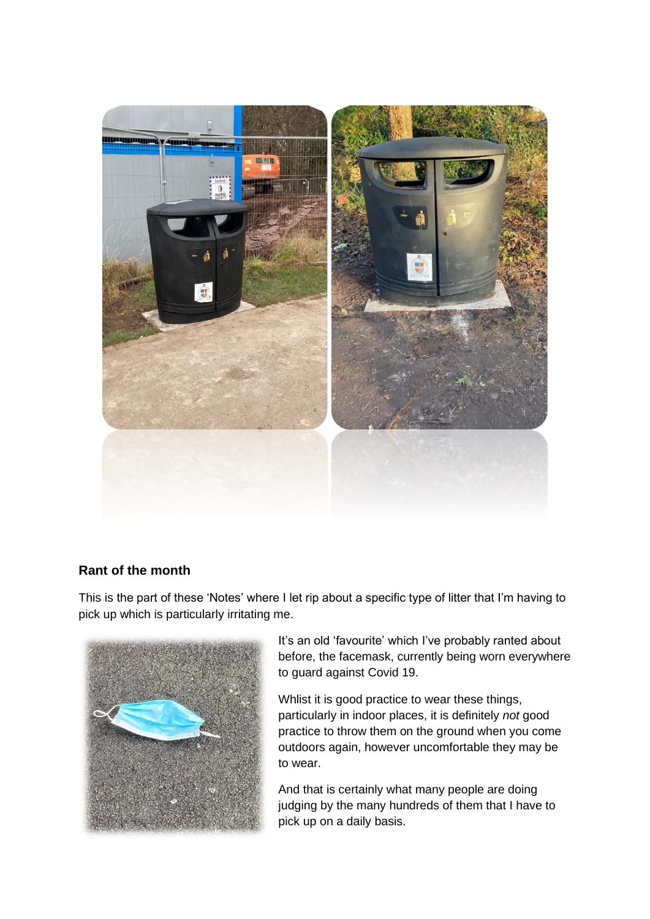

#### **Rant of the month**

This is the part of these 'Notes' where I let rip about a specific type of litter that I'm having to pick up which is particularly irritating me.



It's an old 'favourite' which I've probably ranted about before, the facemask, currently being worn everywhere to guard against Covid 19.

Whlist it is good practice to wear these things, particularly in indoor places, it is definitely *not* good practice to throw them on the ground when you come outdoors again, however uncomfortable they may be to wear.

And that is certainly what many people are doing judging by the many hundreds of them that I have to pick up on a daily basis.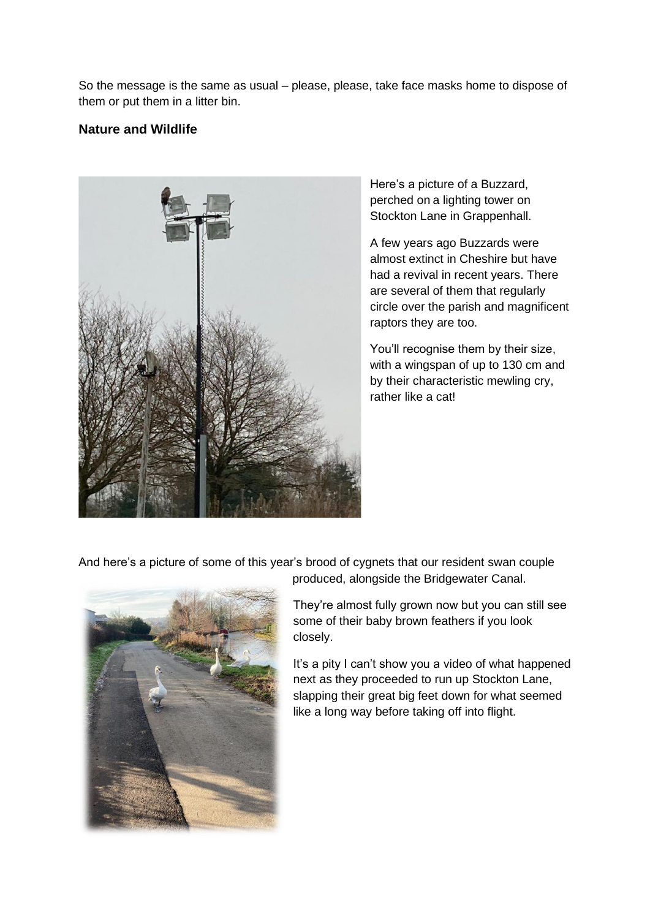So the message is the same as usual – please, please, take face masks home to dispose of them or put them in a litter bin.

#### **Nature and Wildlife**



Here's a picture of a Buzzard, perched on a lighting tower on Stockton Lane in Grappenhall.

A few years ago Buzzards were almost extinct in Cheshire but have had a revival in recent years. There are several of them that regularly circle over the parish and magnificent raptors they are too.

You'll recognise them by their size, with a wingspan of up to 130 cm and by their characteristic mewling cry, rather like a cat!

And here's a picture of some of this year's brood of cygnets that our resident swan couple



produced, alongside the Bridgewater Canal.

They're almost fully grown now but you can still see some of their baby brown feathers if you look closely.

It's a pity I can't show you a video of what happened next as they proceeded to run up Stockton Lane, slapping their great big feet down for what seemed like a long way before taking off into flight.